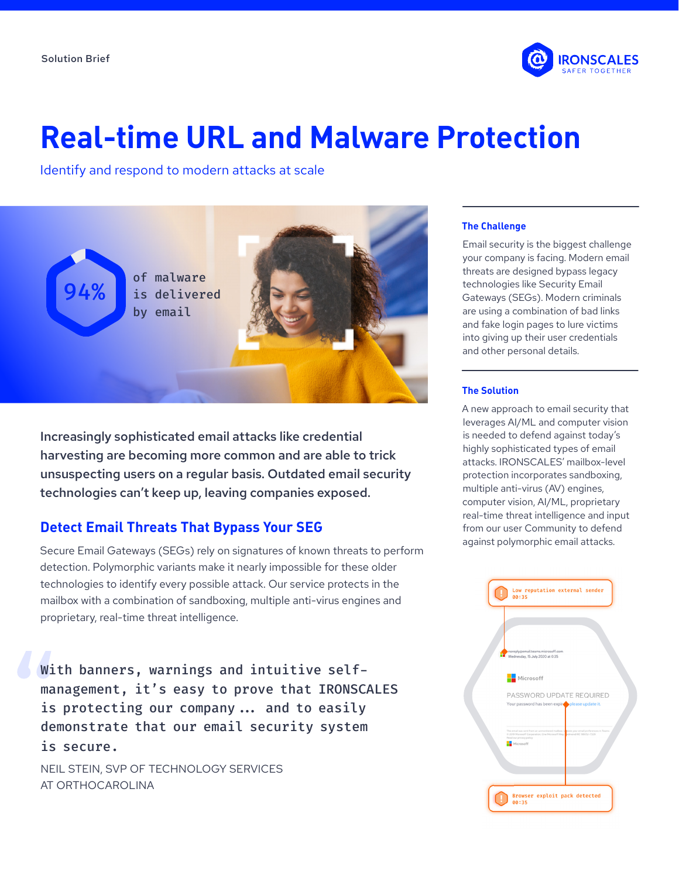

# **Real-time URL and Malware Protection**

Identify and respond to modern attacks at scale



Increasingly sophisticated email attacks like credential harvesting are becoming more common and are able to trick unsuspecting users on a regular basis. Outdated email security technologies can't keep up, leaving companies exposed.

## **Detect Email Threats That Bypass Your SEG**

Secure Email Gateways (SEGs) rely on signatures of known threats to perform detection. Polymorphic variants make it nearly impossible for these older technologies to identify every possible attack. Our service protects in the mailbox with a combination of sandboxing, multiple anti-virus engines and proprietary, real-time threat intelligence.

With banners, warnings and intuitive selfmanagement, it's easy to prove that IRONSCALES is protecting our company... and to easily demonstrate that our email security system is secure.

NEIL STEIN, SVP OF TECHNOLOGY SERVICES AT ORTHOCAROLINA

## **The Challenge**

Email security is the biggest challenge your company is facing. Modern email threats are designed bypass legacy technologies like Security Email Gateways (SEGs). Modern criminals are using a combination of bad links and fake login pages to lure victims into giving up their user credentials and other personal details.

#### **The Solution**

A new approach to email security that leverages AI/ML and computer vision is needed to defend against today's highly sophisticated types of email attacks. IRONSCALES' mailbox-level protection incorporates sandboxing, multiple anti-virus (AV) engines, computer vision, AI/ML, proprietary real-time threat intelligence and input from our user Community to defend against polymorphic email attacks.